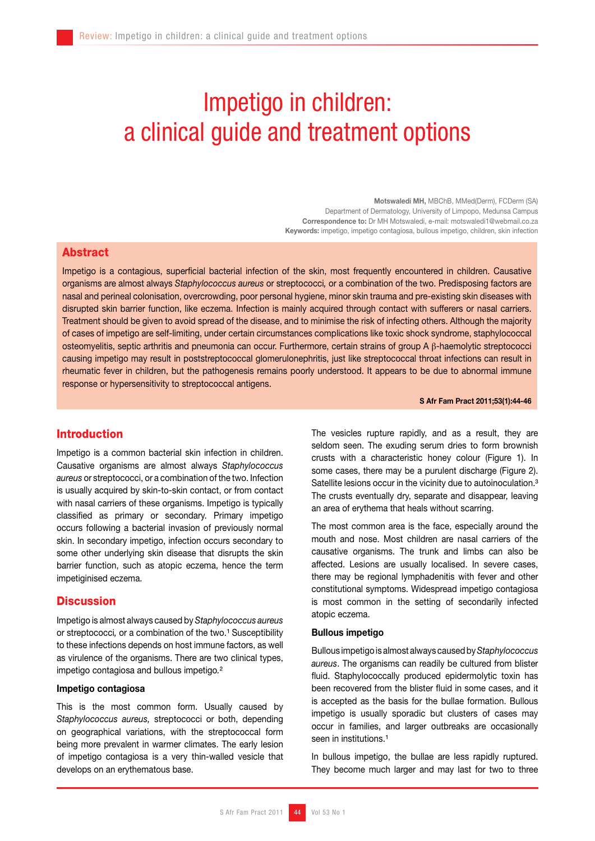# Impetigo in children: a clinical guide and treatment options

Motswaledi MH, MBChB, MMed(Derm), FCDerm (SA) Department of Dermatology, University of Limpopo, Medunsa Campus Correspondence to: Dr MH Motswaledi, e-mail: motswaledi1@webmail.co.za Keywords: impetigo, impetigo contagiosa, bullous impetigo, children, skin infection

# **Abstract**

Impetigo is a contagious, superficial bacterial infection of the skin, most frequently encountered in children. Causative organisms are almost always *Staphylococcus aureus* or streptococci*,* or a combination of the two. Predisposing factors are nasal and perineal colonisation, overcrowding, poor personal hygiene, minor skin trauma and pre-existing skin diseases with disrupted skin barrier function, like eczema. Infection is mainly acquired through contact with sufferers or nasal carriers. Treatment should be given to avoid spread of the disease, and to minimise the risk of infecting others. Although the majority of cases of impetigo are self-limiting, under certain circumstances complications like toxic shock syndrome, staphylococcal osteomyelitis, septic arthritis and pneumonia can occur. Furthermore, certain strains of group A β-haemolytic streptococci causing impetigo may result in poststreptococcal glomerulonephritis, just like streptococcal throat infections can result in rheumatic fever in children, but the pathogenesis remains poorly understood. It appears to be due to abnormal immune response or hypersensitivity to streptococcal antigens.

#### S Afr Fam Pract 2011;53(1):44-46

# Introduction

Impetigo is a common bacterial skin infection in children. Causative organisms are almost always *Staphylococcus aureus* or streptococci, or a combination of the two. Infection is usually acquired by skin-to-skin contact, or from contact with nasal carriers of these organisms. Impetigo is typically classified as primary or secondary. Primary impetigo occurs following a bacterial invasion of previously normal skin. In secondary impetigo, infection occurs secondary to some other underlying skin disease that disrupts the skin barrier function, such as atopic eczema, hence the term impetiginised eczema.

# **Discussion**

Impetigo is almost always caused by *Staphylococcus aureus*  or streptococci, or a combination of the two.<sup>1</sup> Susceptibility to these infections depends on host immune factors, as well as virulence of the organisms. There are two clinical types, impetigo contagiosa and bullous impetigo*.*²

#### Impetigo contagiosa

This is the most common form. Usually caused by *Staphylococcus aureus,* streptococci or both, depending on geographical variations, with the streptococcal form being more prevalent in warmer climates. The early lesion of impetigo contagiosa is a very thin-walled vesicle that develops on an erythematous base.

The vesicles rupture rapidly, and as a result, they are seldom seen. The exuding serum dries to form brownish crusts with a characteristic honey colour (Figure 1). In some cases, there may be a purulent discharge (Figure 2). Satellite lesions occur in the vicinity due to autoinoculation.<sup>3</sup> The crusts eventually dry, separate and disappear, leaving an area of erythema that heals without scarring.

The most common area is the face, especially around the mouth and nose. Most children are nasal carriers of the causative organisms. The trunk and limbs can also be affected. Lesions are usually localised. In severe cases, there may be regional lymphadenitis with fever and other constitutional symptoms. Widespread impetigo contagiosa is most common in the setting of secondarily infected atopic eczema.

#### Bullous impetigo

Bullous impetigois almost always caused by *Staphylococcus aureus*. The organisms can readily be cultured from blister fluid. Staphylococcally produced epidermolytic toxin has been recovered from the blister fluid in some cases, and it is accepted as the basis for the bullae formation. Bullous impetigo is usually sporadic but clusters of cases may occur in families, and larger outbreaks are occasionally seen in institutions.<sup>1</sup>

In bullous impetigo, the bullae are less rapidly ruptured. They become much larger and may last for two to three